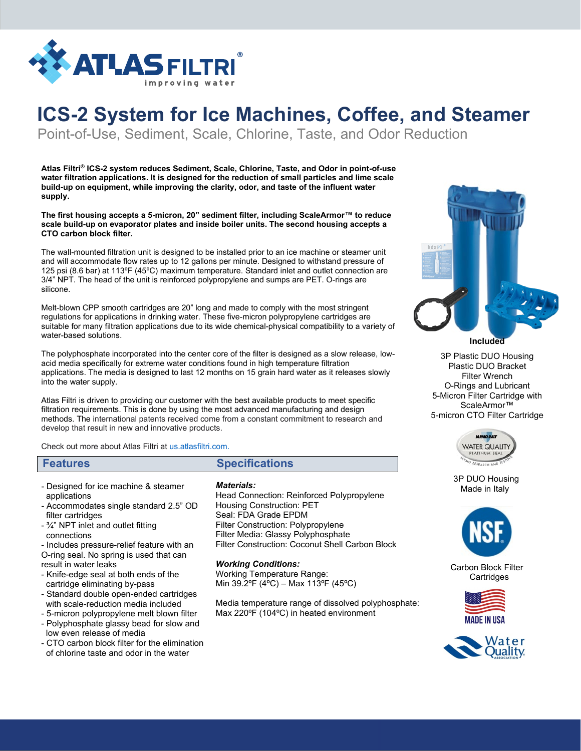

# **ICS-2 System for Ice Machines, Coffee, and Steamer**

Point-of-Use, Sediment, Scale, Chlorine, Taste, and Odor Reduction

**Atlas Filtri® ICS-2 system reduces Sediment, Scale, Chlorine, Taste, and Odor in point-of-use water filtration applications. It is designed for the reduction of small particles and lime scale build-up on equipment, while improving the clarity, odor, and taste of the influent water supply.**

**The first housing accepts a 5-micron, 20" sediment filter, including ScaleArmor™ to reduce scale build-up on evaporator plates and inside boiler units. The second housing accepts a CTO carbon block filter.**

The wall-mounted filtration unit is designed to be installed prior to an ice machine or steamer unit and will accommodate flow rates up to 12 gallons per minute. Designed to withstand pressure of 125 psi (8.6 bar) at 113ºF (45ºC) maximum temperature. Standard inlet and outlet connection are 3/4" NPT. The head of the unit is reinforced polypropylene and sumps are PET. O-rings are silicone.

Melt-blown CPP smooth cartridges are 20" long and made to comply with the most stringent regulations for applications in drinking water. These five-micron polypropylene cartridges are suitable for many filtration applications due to its wide chemical-physical compatibility to a variety of water-based solutions.

The polyphosphate incorporated into the center core of the filter is designed as a slow release, lowacid media specifically for extreme water conditions found in high temperature filtration applications. The media is designed to last 12 months on 15 grain hard water as it releases slowly into the water supply.

Atlas Filtri is driven to providing our customer with the best available products to meet specific filtration requirements. This is done by using the most advanced manufacturing and design methods. The international patents received come from a constant commitment to research and develop that result in new and innovative products.

Check out more about Atlas Filtri a[t us.atlasfiltri.com.](http://www.atlasfiltri.com/)

## **Features Specifications**

- Designed for ice machine & steamer applications
- Accommodates single standard 2.5" OD filter cartridges
- ¾" NPT inlet and outlet fitting connections

- Includes pressure-relief feature with an O-ring seal. No spring is used that can result in water leaks

- Knife-edge seal at both ends of the cartridge eliminating by-pass
- Standard double open-ended cartridges with scale-reduction media included
- 5-micron polypropylene melt blown filter - Polyphosphate glassy bead for slow and
- low even release of media
- CTO carbon block filter for the elimination of chlorine taste and odor in the water

#### *Materials:*

Head Connection: Reinforced Polypropylene Housing Construction: PET Seal: FDA Grade EPDM Filter Construction: Polypropylene Filter Media: Glassy Polyphosphate Filter Construction: Coconut Shell Carbon Block

#### *Working Conditions:*

Working Temperature Range: Min 39.2ºF (4ºC) – Max 113ºF (45ºC)

Media temperature range of dissolved polyphosphate: Max 220ºF (104ºC) in heated environment



**Included**

3P Plastic DUO Housing Plastic DUO Bracket Filter Wrench O-Rings and Lubricant 5-Micron Filter Cartridge with ScaleArmor™ 5-micron CTO Filter Cartridge



 3P DUO Housing Made in Italy



 Carbon Block Filter **Cartridges**